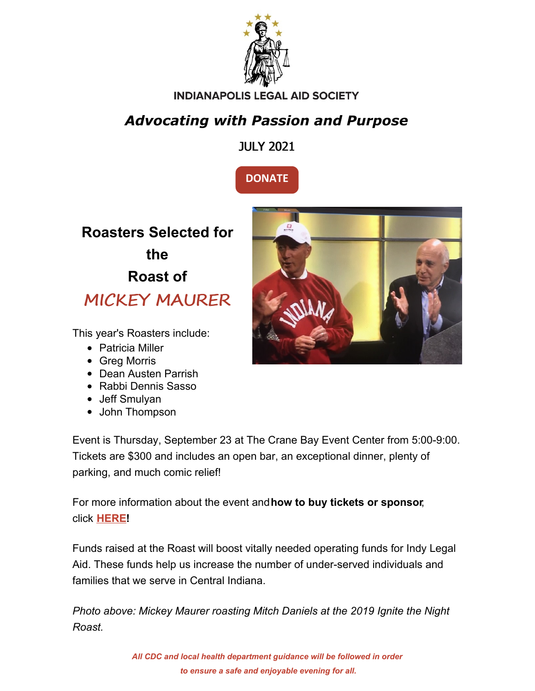

#### **INDIANAPOLIS LEGAL AID SOCIETY**

### *Advocating with Passion and Purpose*

JULY 2021



**Roasters Selected for the Roast of** MICKEY MAURER

This year's Roasters include:

- Patricia Miller
- Greg Morris
- Dean Austen Parrish
- Rabbi Dennis Sasso
- Jeff Smulyan
- John Thompson

Event is Thursday, September 23 at The Crane Bay Event Center from 5:00-9:00. Tickets are \$300 and includes an open bar, an exceptional dinner, plenty of parking, and much comic relief!

For more information about the event and**how to buy tickets or sponsor**, click **[HERE](https://www.indylas.org/2021-ignite-the-night-roast)[!](https://em-ui.constantcontact.com/em-ui/em/page/em-ui/email#)**

Funds raised at the Roast will boost vitally needed operating funds for Indy Legal Aid. These funds help us increase the number of under-served individuals and families that we serve in Central Indiana.

*Photo above: Mickey Maurer roasting Mitch Daniels at the 2019 Ignite the Night Roast.*



*All CDC and local health department guidance will be followed in order to ensure a safe and enjoyable evening for all.*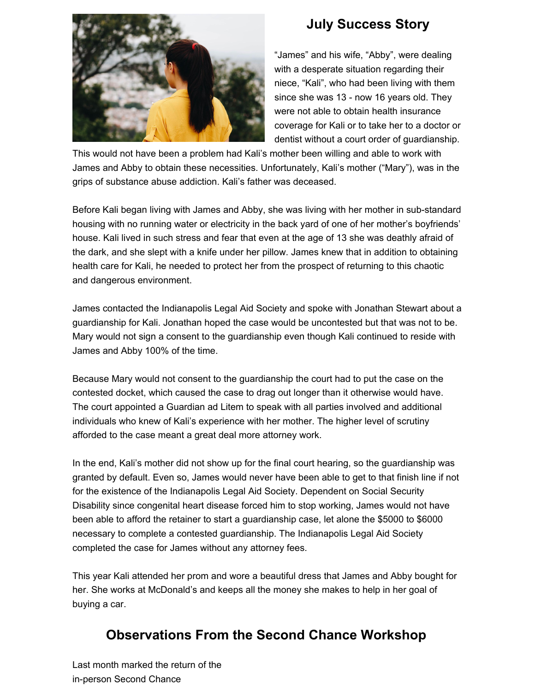

#### **July Success Story**

"James" and his wife, "Abby", were dealing with a desperate situation regarding their niece, "Kali", who had been living with them since she was 13 - now 16 years old. They were not able to obtain health insurance coverage for Kali or to take her to a doctor or dentist without a court order of guardianship.

This would not have been a problem had Kali's mother been willing and able to work with James and Abby to obtain these necessities. Unfortunately, Kali's mother ("Mary"), was in the grips of substance abuse addiction. Kali's father was deceased.

Before Kali began living with James and Abby, she was living with her mother in sub-standard housing with no running water or electricity in the back yard of one of her mother's boyfriends' house. Kali lived in such stress and fear that even at the age of 13 she was deathly afraid of the dark, and she slept with a knife under her pillow. James knew that in addition to obtaining health care for Kali, he needed to protect her from the prospect of returning to this chaotic and dangerous environment.

James contacted the Indianapolis Legal Aid Society and spoke with Jonathan Stewart about a guardianship for Kali. Jonathan hoped the case would be uncontested but that was not to be. Mary would not sign a consent to the guardianship even though Kali continued to reside with James and Abby 100% of the time.

Because Mary would not consent to the guardianship the court had to put the case on the contested docket, which caused the case to drag out longer than it otherwise would have. The court appointed a Guardian ad Litem to speak with all parties involved and additional individuals who knew of Kali's experience with her mother. The higher level of scrutiny afforded to the case meant a great deal more attorney work.

In the end, Kali's mother did not show up for the final court hearing, so the guardianship was granted by default. Even so, James would never have been able to get to that finish line if not for the existence of the Indianapolis Legal Aid Society. Dependent on Social Security Disability since congenital heart disease forced him to stop working, James would not have been able to afford the retainer to start a guardianship case, let alone the \$5000 to \$6000 necessary to complete a contested guardianship. The Indianapolis Legal Aid Society completed the case for James without any attorney fees.

This year Kali attended her prom and wore a beautiful dress that James and Abby bought for her. She works at McDonald's and keeps all the money she makes to help in her goal of buying a car.

#### **Observations From the Second Chance Workshop**

Last month marked the return of the in-person Second Chance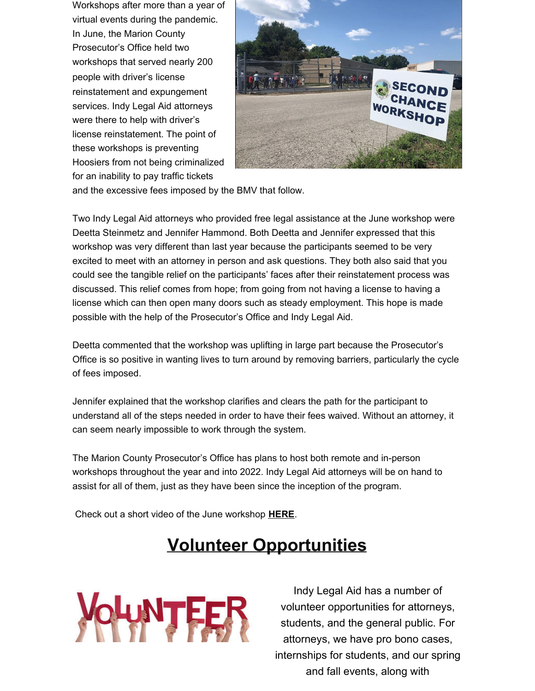Workshops after more than a year of virtual events during the pandemic. In June, the Marion County Prosecutor's Office held two workshops that served nearly 200 people with driver's license reinstatement and expungement services. Indy Legal Aid attorneys were there to help with driver's license reinstatement. The point of these workshops is preventing Hoosiers from not being criminalized for an inability to pay traffic tickets



and the excessive fees imposed by the BMV that follow.

Two Indy Legal Aid attorneys who provided free legal assistance at the June workshop were Deetta Steinmetz and Jennifer Hammond. Both Deetta and Jennifer expressed that this workshop was very different than last year because the participants seemed to be very excited to meet with an attorney in person and ask questions. They both also said that you could see the tangible relief on the participants' faces after their reinstatement process was discussed. This relief comes from hope; from going from not having a license to having a license which can then open many doors such as steady employment. This hope is made possible with the help of the Prosecutor's Office and Indy Legal Aid.

Deetta commented that the workshop was uplifting in large part because the Prosecutor's Office is so positive in wanting lives to turn around by removing barriers, particularly the cycle of fees imposed.

Jennifer explained that the workshop clarifies and clears the path for the participant to understand all of the steps needed in order to have their fees waived. Without an attorney, it can seem nearly impossible to work through the system.

The Marion County Prosecutor's Office has plans to host both remote and in-person workshops throughout the year and into 2022. Indy Legal Aid attorneys will be on hand to assist for all of them, just as they have been since the inception of the program.

Check out a short video of the June workshop **[HERE](https://www.facebook.com/watch/?v=332021178570699)**.

## **Volunteer Opportunities**



Indy Legal Aid has a number of volunteer opportunities for attorneys, students, and the general public. For attorneys, we have pro bono cases, internships for students, and our spring and fall events, along with